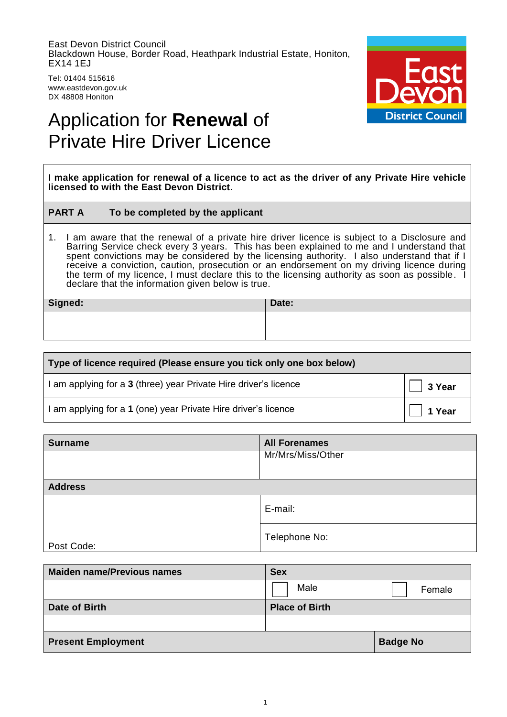East Devon District Council Blackdown House, Border Road, Heathpark Industrial Estate, Honiton, EX14 1EJ

Tel: 01404 515616 www.eastdevon.gov.uk DX 48808 Honiton



# Application for **Renewal** of Private Hire Driver Licence

**I make application for renewal of a licence to act as the driver of any Private Hire vehicle licensed to with the East Devon District.**

### **PART A To be completed by the applicant**

1. I am aware that the renewal of a private hire driver licence is subject to a Disclosure and Barring Service check every 3 years. This has been explained to me and I understand that spent convictions may be considered by the licensing authority. I also understand that if I receive a conviction, caution, prosecution or an endorsement on my driving licence during the term of my licence, I must declare this to the licensing authority as soon as possible. I declare that the information given below is true.

**Signed: Date: Date: Date:** 

| Type of licence required (Please ensure you tick only one box below) |                |  |
|----------------------------------------------------------------------|----------------|--|
| am applying for a 3 (three) year Private Hire driver's licence       | $\vert$ 3 Year |  |
| am applying for a 1 (one) year Private Hire driver's licence         | 1 Year         |  |

| <b>Surname</b> | <b>All Forenames</b><br>Mr/Mrs/Miss/Other |
|----------------|-------------------------------------------|
|                |                                           |
| <b>Address</b> |                                           |
|                | E-mail:                                   |
| Post Code:     | Telephone No:                             |

| <b>Maiden name/Previous names</b> | <b>Sex</b>            |                 |
|-----------------------------------|-----------------------|-----------------|
|                                   | Male                  | Female          |
| Date of Birth                     | <b>Place of Birth</b> |                 |
|                                   |                       |                 |
| <b>Present Employment</b>         |                       | <b>Badge No</b> |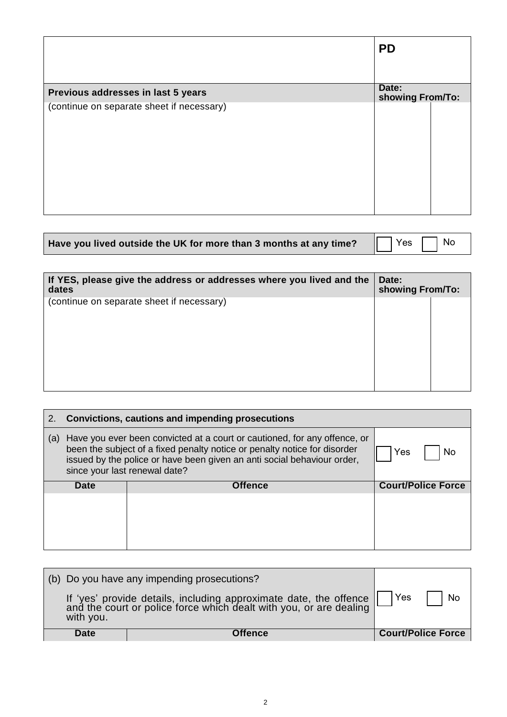|                                           | <b>PD</b>                 |  |
|-------------------------------------------|---------------------------|--|
| Previous addresses in last 5 years        | Date:<br>showing From/To: |  |
| (continue on separate sheet if necessary) |                           |  |

| Have you lived outside the UK for more than 3 months at any time? $\Box$ Yes $\Box$ No |  |  |  |  |
|----------------------------------------------------------------------------------------|--|--|--|--|
|----------------------------------------------------------------------------------------|--|--|--|--|

| If YES, please give the address or addresses where you lived and the<br>dates |  | showing From/To: |
|-------------------------------------------------------------------------------|--|------------------|
| (continue on separate sheet if necessary)                                     |  |                  |
|                                                                               |  |                  |

| 2.  | Convictions, cautions and impending prosecutions                                                                                                                                                                                                                   |                |                           |  |  |
|-----|--------------------------------------------------------------------------------------------------------------------------------------------------------------------------------------------------------------------------------------------------------------------|----------------|---------------------------|--|--|
| (a) | Have you ever been convicted at a court or cautioned, for any offence, or<br>been the subject of a fixed penalty notice or penalty notice for disorder<br>issued by the police or have been given an anti social behaviour order,<br>since your last renewal date? | No<br>Yes      |                           |  |  |
|     | <b>Date</b>                                                                                                                                                                                                                                                        | <b>Offence</b> | <b>Court/Police Force</b> |  |  |
|     |                                                                                                                                                                                                                                                                    |                |                           |  |  |

|             | (b) Do you have any impending prosecutions?                                                                                          |                           |
|-------------|--------------------------------------------------------------------------------------------------------------------------------------|---------------------------|
| with you.   | If 'yes' provide details, including approximate date, the offence and the court or police force which dealt with you, or are dealing | Yes<br><b>No</b>          |
| <b>Date</b> | Offence                                                                                                                              | <b>Court/Police Force</b> |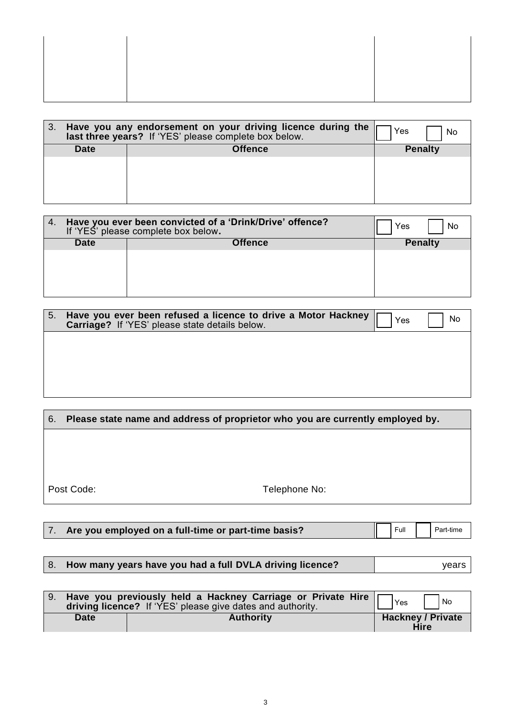|             | Have you any endorsement on your driving licence during the<br>last three years? If 'YES' please complete box below. | Yes<br>No      |
|-------------|----------------------------------------------------------------------------------------------------------------------|----------------|
| <b>Date</b> | Offence                                                                                                              | <b>Penalty</b> |
|             |                                                                                                                      |                |
|             |                                                                                                                      |                |
|             |                                                                                                                      |                |
|             |                                                                                                                      |                |

| 4.          | Have you ever been convicted of a 'Drink/Drive' offence?<br>If 'YES' please complete box below. | Yes<br>No      |
|-------------|-------------------------------------------------------------------------------------------------|----------------|
| <b>Date</b> | Offence                                                                                         | <b>Penalty</b> |
|             |                                                                                                 |                |
|             |                                                                                                 |                |

| 5. | Have you ever been refused a licence to drive a Motor Hackney<br>Carriage? If 'YES' please state details below. | Yes | No |
|----|-----------------------------------------------------------------------------------------------------------------|-----|----|
|    |                                                                                                                 |     |    |
|    |                                                                                                                 |     |    |
|    |                                                                                                                 |     |    |

| 6. | Please state name and address of proprietor who you are currently employed by. |               |
|----|--------------------------------------------------------------------------------|---------------|
|    |                                                                                |               |
|    |                                                                                |               |
|    |                                                                                |               |
|    | Post Code:                                                                     | Telephone No: |

| 7. Are you employed on a full-time or part-time basis? |  |  |  | Full Part-time |
|--------------------------------------------------------|--|--|--|----------------|
|--------------------------------------------------------|--|--|--|----------------|

# 8. How many years have you had a full DVLA driving licence? **Fig. 1.1 Solution** years

|             | 9. Have you previously held a Hackney Carriage or Private Hire<br>driving licence? If 'YES' please give dates and authority. | Yes<br>$\overline{\phantom{a}}$ No      |
|-------------|------------------------------------------------------------------------------------------------------------------------------|-----------------------------------------|
| <b>Date</b> | <b>Authority</b>                                                                                                             | <b>Hackney / Private</b><br><b>Hire</b> |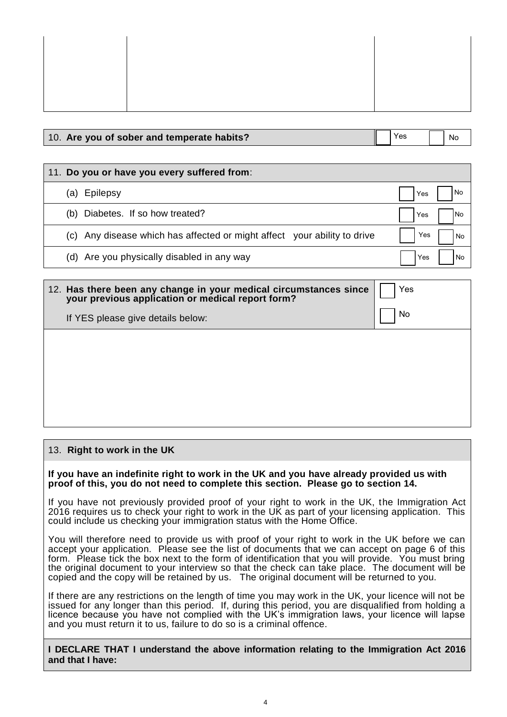## 10. **Are you of sober and temperate habits?**

 $Yes \t | \t | \t N<sub>0</sub>$ 

#### 11. **Do you or have you every suffered from**: (a) Epilepsy (b) Diabetes. If so how treated? (c) Any disease which has affected or might affect your ability to drive (d) Are you physically disabled in any way Yes Yes Yes Yes No No No No

| 12. Has there been any change in your medical circumstances since<br>your previous application or medical report form? | Yes |
|------------------------------------------------------------------------------------------------------------------------|-----|
| If YES please give details below:                                                                                      | No  |
|                                                                                                                        |     |
|                                                                                                                        |     |
|                                                                                                                        |     |
|                                                                                                                        |     |

# 13. **Right to work in the UK**

**If you have an indefinite right to work in the UK and you have already provided us with proof of this, you do not need to complete this section. Please go to section 14.**

If you have not previously provided proof of your right to work in the UK, the Immigration Act 2016 requires us to check your right to work in the UK as part of your licensing application. This could include us checking your immigration status with the Home Office.

You will therefore need to provide us with proof of your right to work in the UK before we can accept your application. Please see the list of documents that we can accept on page 6 of this form. Please tick the box next to the form of identification that you will provide. You must bring the original document to your interview so that the check can take place. The document will be copied and the copy will be retained by us. The original document will be returned to you.

If there are any restrictions on the length of time you may work in the UK, your licence will not be issued for any longer than this period. If, during this period, you are disqualified from holding a licence because you have not complied with the UK's immigration laws, your licence will lapse and you must return it to us, failure to do so is a criminal offence.

**I DECLARE THAT I understand the above information relating to the Immigration Act 2016 and that I have:**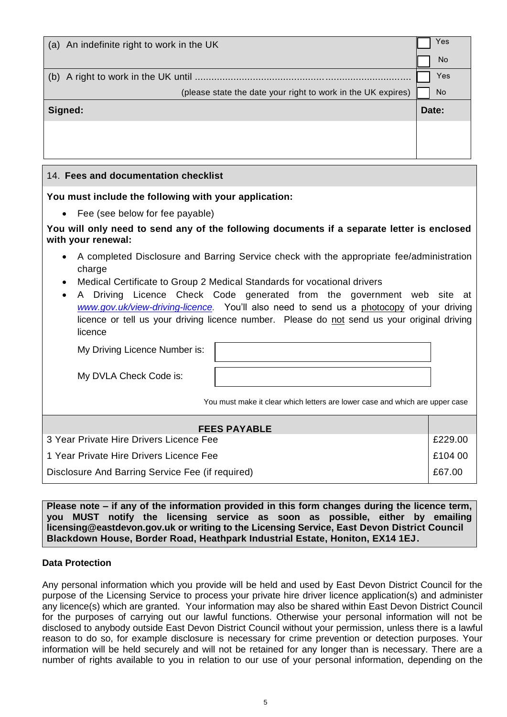| Yes       |
|-----------|
| <b>No</b> |
| Yes       |
| <b>No</b> |
| Date:     |
|           |
|           |
|           |

### 14. **Fees and documentation checklist**

**You must include the following with your application:**

• Fee (see below for fee payable)

**You will only need to send any of the following documents if a separate letter is enclosed with your renewal:**

- A completed Disclosure and Barring Service check with the appropriate fee/administration charge
- Medical Certificate to Group 2 Medical Standards for vocational drivers
- A Driving Licence Check Code generated from the government web site at *[www.gov.uk/view-driving-licence.](http://www.gov.uk/view-driving-licence)* You'll also need to send us a photocopy of your driving licence or tell us your driving licence number. Please do not send us your original driving licence

My Driving Licence Number is:

My DVLA Check Code is:

You must make it clear which letters are lower case and which are upper case

| <b>FEES PAYABLE</b>                              |         |
|--------------------------------------------------|---------|
| 3 Year Private Hire Drivers Licence Fee          | £229.00 |
| 1 Year Private Hire Drivers Licence Fee          | E104 00 |
| Disclosure And Barring Service Fee (if required) | £67.00  |

**Please note – if any of the information provided in this form changes during the licence term, you MUST notify the licensing service as soon as possible, either by emailing licensing@eastdevon.gov.uk or writing to the Licensing Service, East Devon District Council Blackdown House, Border Road, Heathpark Industrial Estate, Honiton, EX14 1EJ.**

### **Data Protection**

Any personal information which you provide will be held and used by East Devon District Council for the purpose of the Licensing Service to process your private hire driver licence application(s) and administer any licence(s) which are granted. Your information may also be shared within East Devon District Council for the purposes of carrying out our lawful functions. Otherwise your personal information will not be disclosed to anybody outside East Devon District Council without your permission, unless there is a lawful reason to do so, for example disclosure is necessary for crime prevention or detection purposes. Your information will be held securely and will not be retained for any longer than is necessary. There are a number of rights available to you in relation to our use of your personal information, depending on the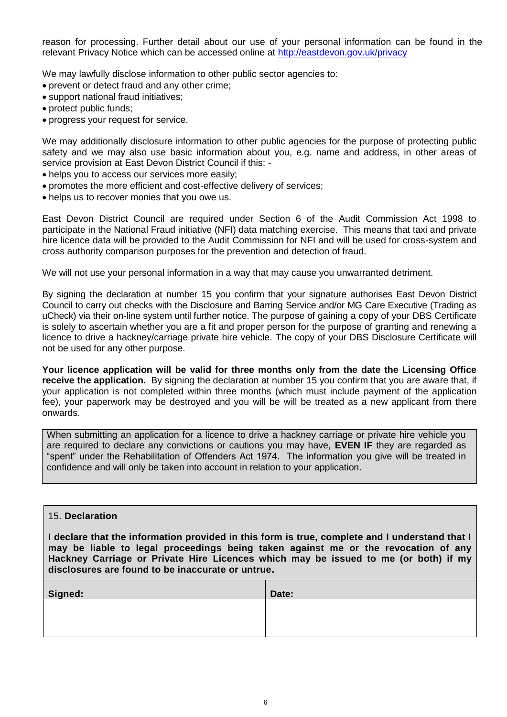reason for processing. Further detail about our use of your personal information can be found in the relevant Privacy Notice which can be accessed online at<http://eastdevon.gov.uk/privacy>

We may lawfully disclose information to other public sector agencies to:

- prevent or detect fraud and any other crime;
- support national fraud initiatives;
- protect public funds;
- progress your request for service.

We may additionally disclosure information to other public agencies for the purpose of protecting public safety and we may also use basic information about you, e.g. name and address, in other areas of service provision at East Devon District Council if this: -

- helps you to access our services more easily;
- promotes the more efficient and cost-effective delivery of services;
- helps us to recover monies that you owe us.

East Devon District Council are required under Section 6 of the Audit Commission Act 1998 to participate in the National Fraud initiative (NFI) data matching exercise. This means that taxi and private hire licence data will be provided to the Audit Commission for NFI and will be used for cross-system and cross authority comparison purposes for the prevention and detection of fraud.

We will not use your personal information in a way that may cause you unwarranted detriment.

By signing the declaration at number 15 you confirm that your signature authorises East Devon District Council to carry out checks with the Disclosure and Barring Service and/or MG Care Executive (Trading as uCheck) via their on-line system until further notice. The purpose of gaining a copy of your DBS Certificate is solely to ascertain whether you are a fit and proper person for the purpose of granting and renewing a licence to drive a hackney/carriage private hire vehicle. The copy of your DBS Disclosure Certificate will not be used for any other purpose.

**Your licence application will be valid for three months only from the date the Licensing Office receive the application.** By signing the declaration at number 15 you confirm that you are aware that, if your application is not completed within three months (which must include payment of the application fee), your paperwork may be destroyed and you will be will be treated as a new applicant from there onwards.

When submitting an application for a licence to drive a hackney carriage or private hire vehicle you are required to declare any convictions or cautions you may have, **EVEN IF** they are regarded as "spent" under the Rehabilitation of Offenders Act 1974. The information you give will be treated in confidence and will only be taken into account in relation to your application.

#### 15. **Declaration**

**I declare that the information provided in this form is true, complete and I understand that I may be liable to legal proceedings being taken against me or the revocation of any Hackney Carriage or Private Hire Licences which may be issued to me (or both) if my disclosures are found to be inaccurate or untrue.**

| Signed: | Date: |
|---------|-------|
|         |       |
|         |       |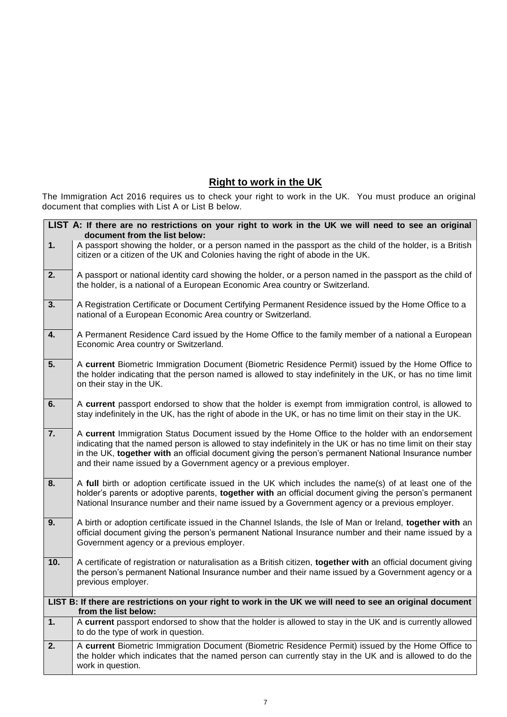# **Right to work in the UK**

The Immigration Act 2016 requires us to check your right to work in the UK. You must produce an original document that complies with List A or List B below.

| LIST A: If there are no restrictions on your right to work in the UK we will need to see an original<br>document from the list below: |                                                                                                                                                                                                                                                                                                                                                                                                     |  |
|---------------------------------------------------------------------------------------------------------------------------------------|-----------------------------------------------------------------------------------------------------------------------------------------------------------------------------------------------------------------------------------------------------------------------------------------------------------------------------------------------------------------------------------------------------|--|
| 1.                                                                                                                                    | A passport showing the holder, or a person named in the passport as the child of the holder, is a British<br>citizen or a citizen of the UK and Colonies having the right of abode in the UK.                                                                                                                                                                                                       |  |
| 2.                                                                                                                                    | A passport or national identity card showing the holder, or a person named in the passport as the child of<br>the holder, is a national of a European Economic Area country or Switzerland.                                                                                                                                                                                                         |  |
| 3.                                                                                                                                    | A Registration Certificate or Document Certifying Permanent Residence issued by the Home Office to a<br>national of a European Economic Area country or Switzerland.                                                                                                                                                                                                                                |  |
| $\overline{\mathbf{4}}$ .                                                                                                             | A Permanent Residence Card issued by the Home Office to the family member of a national a European<br>Economic Area country or Switzerland.                                                                                                                                                                                                                                                         |  |
| 5.                                                                                                                                    | A current Biometric Immigration Document (Biometric Residence Permit) issued by the Home Office to<br>the holder indicating that the person named is allowed to stay indefinitely in the UK, or has no time limit<br>on their stay in the UK.                                                                                                                                                       |  |
| 6.                                                                                                                                    | A current passport endorsed to show that the holder is exempt from immigration control, is allowed to<br>stay indefinitely in the UK, has the right of abode in the UK, or has no time limit on their stay in the UK.                                                                                                                                                                               |  |
| 7.                                                                                                                                    | A current Immigration Status Document issued by the Home Office to the holder with an endorsement<br>indicating that the named person is allowed to stay indefinitely in the UK or has no time limit on their stay<br>in the UK, together with an official document giving the person's permanent National Insurance number<br>and their name issued by a Government agency or a previous employer. |  |
| 8.                                                                                                                                    | A full birth or adoption certificate issued in the UK which includes the name(s) of at least one of the<br>holder's parents or adoptive parents, together with an official document giving the person's permanent<br>National Insurance number and their name issued by a Government agency or a previous employer.                                                                                 |  |
| 9.                                                                                                                                    | A birth or adoption certificate issued in the Channel Islands, the Isle of Man or Ireland, together with an<br>official document giving the person's permanent National Insurance number and their name issued by a<br>Government agency or a previous employer.                                                                                                                                    |  |
| 10.                                                                                                                                   | A certificate of registration or naturalisation as a British citizen, together with an official document giving<br>the person's permanent National Insurance number and their name issued by a Government agency or a<br>previous employer.                                                                                                                                                         |  |
| LIST B: If there are restrictions on your right to work in the UK we will need to see an original document<br>from the list below:    |                                                                                                                                                                                                                                                                                                                                                                                                     |  |
| 1.                                                                                                                                    | A current passport endorsed to show that the holder is allowed to stay in the UK and is currently allowed<br>to do the type of work in question.                                                                                                                                                                                                                                                    |  |
| 2.                                                                                                                                    | A current Biometric Immigration Document (Biometric Residence Permit) issued by the Home Office to<br>the holder which indicates that the named person can currently stay in the UK and is allowed to do the<br>work in question.                                                                                                                                                                   |  |
|                                                                                                                                       |                                                                                                                                                                                                                                                                                                                                                                                                     |  |